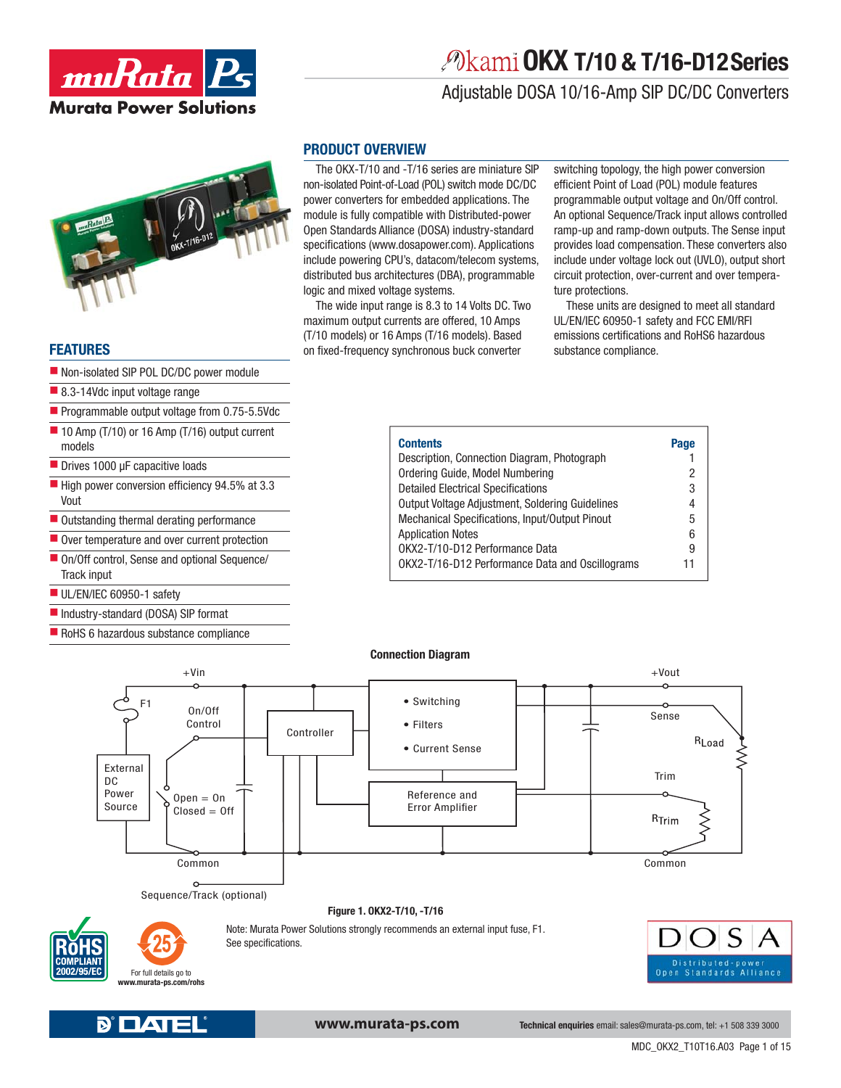

# **OKX T/10 & T/16-D12 Series**

### Adjustable DOSA 10/16-Amp SIP DC/DC Converters



### **FEATURES**

- Non-isolated SIP POL DC/DC power module
- 8.3-14Vdc input voltage range
- Programmable output voltage from 0.75-5.5Vdc
- $\blacksquare$  10 Amp (T/10) or 16 Amp (T/16) output current models
- Drives 1000 μF capacitive loads
- $\blacksquare$  High power conversion efficiency 94.5% at 3.3 Vout
- Outstanding thermal derating performance
- $\blacksquare$  Over temperature and over current protection
- On/Off control, Sense and optional Sequence/ Track input
- UL/EN/IEC 60950-1 safety
- Industry-standard (DOSA) SIP format
- RoHS 6 hazardous substance compliance

### **PRODUCT OVERVIEW**

The OKX-T/10 and -T/16 series are miniature SIP non-isolated Point-of-Load (POL) switch mode DC/DC power converters for embedded applications. The module is fully compatible with Distributed-power Open Standards Alliance (DOSA) industry-standard specifications (www.dosapower.com). Applications include powering CPU's, datacom/telecom systems, distributed bus architectures (DBA), programmable logic and mixed voltage systems.

The wide input range is 8.3 to 14 Volts DC. Two maximum output currents are offered, 10 Amps (T/10 models) or 16 Amps (T/16 models). Based on fixed-frequency synchronous buck converter

switching topology, the high power conversion efficient Point of Load (POL) module features programmable output voltage and On/Off control. An optional Sequence/Track input allows controlled ramp-up and ramp-down outputs. The Sense input provides load compensation. These converters also include under voltage lock out (UVLO), output short circuit protection, over-current and over temperature protections.

These units are designed to meet all standard UL/EN/IEC 60950-1 safety and FCC EMI/RFI emissions certifications and RoHS6 hazardous substance compliance.

| <b>Contents</b>                                 | Page |
|-------------------------------------------------|------|
| Description, Connection Diagram, Photograph     |      |
| Ordering Guide, Model Numbering                 | 2    |
| <b>Detailed Electrical Specifications</b>       | 3    |
| Output Voltage Adjustment, Soldering Guidelines | 4    |
| Mechanical Specifications, Input/Output Pinout  | 5    |
| <b>Application Notes</b>                        | 6    |
| OKX2-T/10-D12 Performance Data                  | 9    |
| OKX2-T/16-D12 Performance Data and Oscillograms | 11   |







**www.murata-ps.com**

**Technical enquiries** email: sales@murata-ps.com, tel: +1 508 339 3000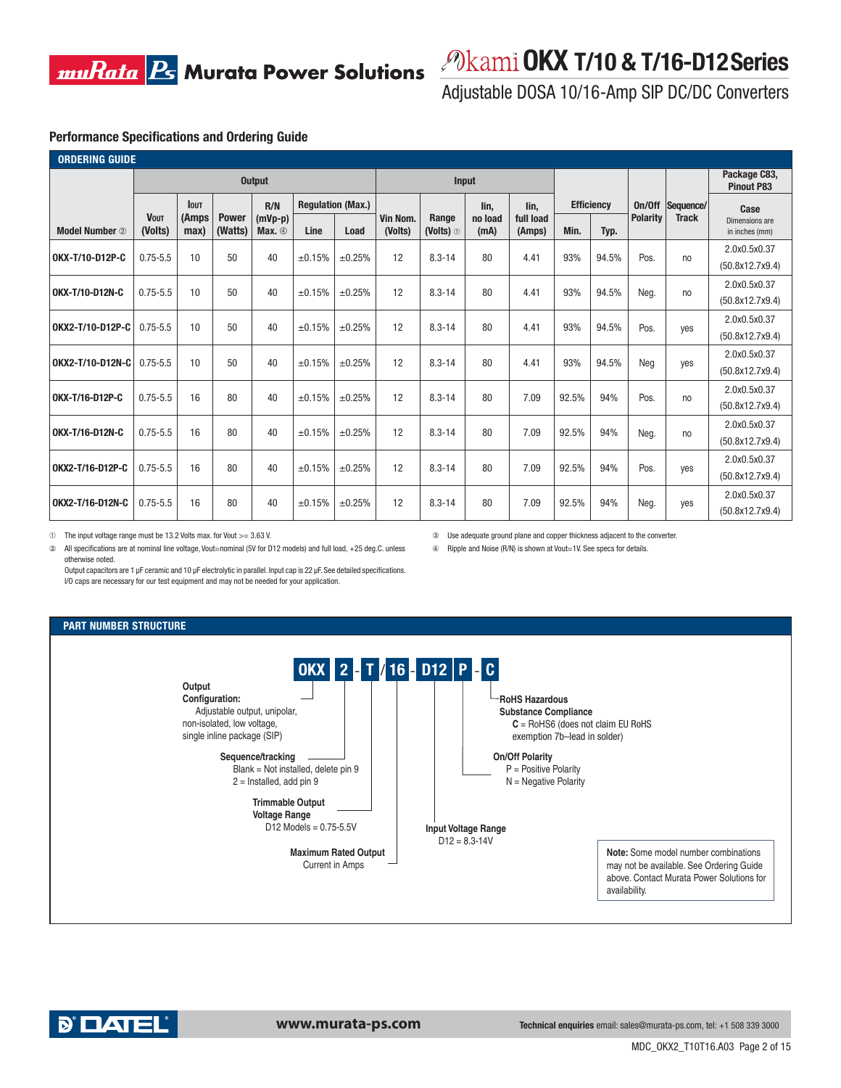

### **OKX T/10 & T/16-D12 Series**

Adjustable DOSA 10/16-Amp SIP DC/DC Converters

③ Use adequate ground plane and copper thickness adjacent to the converter. ④ Ripple and Noise (R/N) is shown at Vout=1V. See specs for details.

### **Performance Specifications and Ordering Guide**

| <b>ORDERING GUIDE</b> |                                                                                |                       |      |                          |                     |                      |                 |                     |      |                   |                                   |              |                                  |      |                 |                 |
|-----------------------|--------------------------------------------------------------------------------|-----------------------|------|--------------------------|---------------------|----------------------|-----------------|---------------------|------|-------------------|-----------------------------------|--------------|----------------------------------|------|-----------------|-----------------|
|                       | <b>Output</b>                                                                  |                       |      |                          | <b>Input</b>        |                      |                 |                     |      |                   | Package C83,<br><b>Pinout P83</b> |              |                                  |      |                 |                 |
|                       | <b>lout</b>                                                                    |                       | R/N  | <b>Regulation (Max.)</b> |                     |                      |                 | lin.                | lin. | <b>Efficiency</b> |                                   | On/Off       | Sequence/                        | Case |                 |                 |
| <b>Model Number</b> 2 | <b>VOUT</b><br><b>Power</b><br>(Amps<br>(Watts)<br>(Volts)<br>max <sub>l</sub> | $(mVp-p)$<br>Max. $①$ | Line | Load                     | Vin Nom.<br>(Volts) | Range<br>(Volts) $0$ | no load<br>(mA) | full load<br>(Amps) | Min. | Typ.              | <b>Polarity</b>                   | <b>Track</b> | Dimensions are<br>in inches (mm) |      |                 |                 |
| OKX-T/10-D12P-C       | $0.75 - 5.5$                                                                   | 10                    | 50   | 40                       | ±0.15%              | ±0.25%               | 12              | $8.3 - 14$          | 80   | 4.41              | 93%                               | 94.5%        | Pos.                             | no   | 2.0x0.5x0.37    |                 |
|                       |                                                                                |                       |      |                          |                     |                      |                 |                     |      |                   |                                   |              |                                  |      |                 | (50.8x12.7x9.4) |
| OKX-T/10-D12N-C       | $0.75 - 5.5$                                                                   | 10                    | 50   | 40                       | ±0.15%              | ±0.25%               | 12              | $8.3 - 14$          | 80   | 4.41              | 93%                               | 94.5%        | Neg.                             | no   | 2.0x0.5x0.37    |                 |
|                       |                                                                                |                       |      |                          |                     |                      |                 |                     |      |                   |                                   |              |                                  |      | (50.8x12.7x9.4) |                 |
| OKX2-T/10-D12P-C      | $0.75 - 5.5$                                                                   | 10                    | 50   | 40                       | ±0.15%              | ±0.25%               | 12              | $8.3 - 14$          | 80   | 4.41              | 93%                               | 94.5%        | Pos.                             | yes  | 2.0x0.5x0.37    |                 |
|                       |                                                                                |                       |      |                          |                     |                      |                 |                     |      |                   |                                   |              |                                  |      | (50.8x12.7x9.4) |                 |
| OKX2-T/10-D12N-C      | $0.75 - 5.5$                                                                   | 10                    | 50   | 40                       | ±0.15%              | ±0.25%               | 12              | $8.3 - 14$          | 80   | 4.41              | 93%                               | 94.5%        | Neg                              |      | 2.0x0.5x0.37    |                 |
|                       |                                                                                |                       |      |                          |                     |                      |                 |                     |      |                   |                                   |              |                                  | yes  | (50.8x12.7x9.4) |                 |
| OKX-T/16-D12P-C       | $0.75 - 5.5$                                                                   | 16                    | 80   | 40                       | ±0.15%              | ±0.25%               | 12              | $8.3 - 14$          | 80   | 7.09              | 92.5%                             | 94%          | Pos.                             |      | 2.0x0.5x0.37    |                 |
|                       |                                                                                |                       |      |                          |                     |                      |                 |                     |      |                   |                                   |              |                                  | no   | (50.8x12.7x9.4) |                 |
| OKX-T/16-D12N-C       | $0.75 - 5.5$                                                                   | 16                    | 80   | 40                       | ±0.15%              | ±0.25%               | 12              | $8.3 - 14$          | 80   | 7.09              | 92.5%                             | 94%          | Neg.                             | no   | 2.0x0.5x0.37    |                 |
|                       |                                                                                |                       |      |                          |                     |                      |                 |                     |      |                   |                                   |              |                                  |      | (50.8x12.7x9.4) |                 |
| OKX2-T/16-D12P-C      | $0.75 - 5.5$                                                                   | 16                    | 80   | 40                       | ±0.15%              | ±0.25%               | 12              | $8.3 - 14$          | 80   | 7.09              | 92.5%                             | 94%          | Pos.                             |      | 2.0x0.5x0.37    |                 |
|                       |                                                                                |                       |      |                          |                     |                      |                 |                     |      |                   |                                   |              |                                  | yes  | (50.8x12.7x9.4) |                 |
| OKX2-T/16-D12N-C      | $0.75 - 5.5$                                                                   | 16                    | 80   | 40                       | ±0.15%              | ±0.25%               | 12              | $8.3 - 14$          | 80   | 7.09              | 92.5%                             | 94%          |                                  |      | 2.0x0.5x0.37    |                 |
|                       |                                                                                |                       |      |                          |                     |                      |                 |                     |      |                   |                                   |              | Neg.                             | yes  | (50.8x12.7x9.4) |                 |

➀ The input voltage range must be 13.2 Volts max. for Vout >= 3.63 V.

② All specifications are at nominal line voltage, Vout=nominal (5V for D12 models) and full load, +25 deg.C. unless otherwise noted.

Output capacitors are 1 μF ceramic and 10 μF electrolytic in parallel. Input cap is 22 μF. See detailed specifications. I/O caps are necessary for our test equipment and may not be needed for your application.

### **PART NUMBER STRUCTURE**



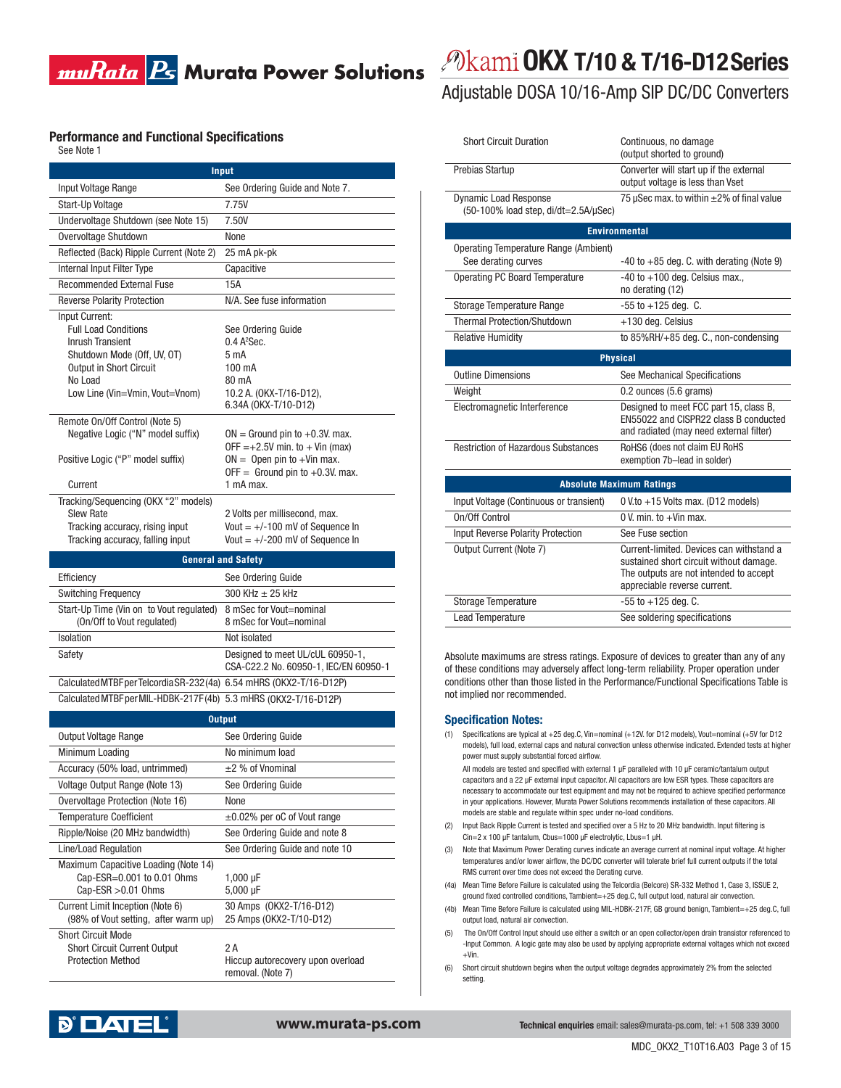### **Performance and Functional Specifications**

| See Note 1 |
|------------|
|------------|

|                                                                                                                                    | Input                                                                                                                                                         |
|------------------------------------------------------------------------------------------------------------------------------------|---------------------------------------------------------------------------------------------------------------------------------------------------------------|
| Input Voltage Range                                                                                                                | See Ordering Guide and Note 7.                                                                                                                                |
| Start-Up Voltage                                                                                                                   | 7.75V                                                                                                                                                         |
| Undervoltage Shutdown (see Note 15)                                                                                                | 7.50V                                                                                                                                                         |
| Overvoltage Shutdown                                                                                                               | None                                                                                                                                                          |
| Reflected (Back) Ripple Current (Note 2)                                                                                           | 25 mA pk-pk                                                                                                                                                   |
| Internal Input Filter Type                                                                                                         | Capacitive                                                                                                                                                    |
| <b>Recommended External Fuse</b>                                                                                                   | 15A                                                                                                                                                           |
| <b>Reverse Polarity Protection</b>                                                                                                 | N/A. See fuse information                                                                                                                                     |
| Input Current:<br><b>Full Load Conditions</b><br><b>Inrush Transient</b><br>Shutdown Mode (Off, UV, OT)<br>Output in Short Circuit | See Ordering Guide<br>$0.4$ A <sup>2</sup> Sec.<br>5 <sub>m</sub> A<br>100 mA                                                                                 |
| No Load                                                                                                                            | 80 mA                                                                                                                                                         |
| Low Line (Vin=Vmin, Vout=Vnom)                                                                                                     | 10.2 A. (OKX-T/16-D12),<br>6.34A (OKX-T/10-D12)                                                                                                               |
| Remote On/Off Control (Note 5)<br>Negative Logic ("N" model suffix)<br>Positive Logic ("P" model suffix)<br>Current                | $ON =$ Ground pin to $+0.3V$ . max.<br>$OFF = +2.5V$ min. to $+$ Vin (max)<br>$ON =$ Open pin to +Vin max.<br>OFF = Ground pin to $+0.3V$ . max.<br>1 mA max. |
| Tracking/Sequencing (OKX "2" models)<br><b>Slew Rate</b>                                                                           | 2 Volts per millisecond, max.                                                                                                                                 |
| Tracking accuracy, rising input<br>Tracking accuracy, falling input                                                                | Vout $= +/-100$ mV of Sequence In<br>Vout $= +/-200$ mV of Sequence In                                                                                        |
|                                                                                                                                    | <b>General and Safety</b>                                                                                                                                     |
| Efficiency                                                                                                                         | See Ordering Guide                                                                                                                                            |
| <b>Switching Frequency</b>                                                                                                         | 300 KHz $\pm$ 25 kHz                                                                                                                                          |
| Start-Up Time (Vin on to Vout regulated)<br>(On/Off to Vout regulated)                                                             | 8 mSec for Vout=nominal<br>8 mSec for Vout=nominal                                                                                                            |
| <b>Isolation</b>                                                                                                                   | Not isolated                                                                                                                                                  |
| Safety                                                                                                                             | Designed to meet UL/cUL 60950-1,<br>CSA-C22.2 No. 60950-1, IEC/EN 60950-1                                                                                     |
| Calculated MTBF per Telcordia SR-232 (4a) 6.54 mHRS (OKX2-T/16-D12P)                                                               |                                                                                                                                                               |
| Calculated MTBF per MIL-HDBK-217F(4b) 5.3 mHRS (OKX2-T/16-D12P)                                                                    |                                                                                                                                                               |
|                                                                                                                                    |                                                                                                                                                               |
| Output Voltage Range                                                                                                               | <b>Output</b>                                                                                                                                                 |
|                                                                                                                                    |                                                                                                                                                               |
|                                                                                                                                    | See Ordering Guide<br>No minimum load                                                                                                                         |
| Minimum Loading                                                                                                                    | $\pm$ 2 % of Vnominal                                                                                                                                         |
| Accuracy (50% load, untrimmed)                                                                                                     |                                                                                                                                                               |
| Voltage Output Range (Note 13)<br>Overvoltage Protection (Note 16)                                                                 | See Ordering Guide<br>None                                                                                                                                    |
|                                                                                                                                    |                                                                                                                                                               |
| <b>Temperature Coefficient</b>                                                                                                     | ±0.02% per oC of Vout range                                                                                                                                   |
| Ripple/Noise (20 MHz bandwidth)                                                                                                    | See Ordering Guide and note 8                                                                                                                                 |
| Line/Load Regulation<br>Maximum Capacitive Loading (Note 14)<br>Cap-ESR=0.001 to 0.01 Ohms<br>Cap-ESR > 0.01 Ohms                  | See Ordering Guide and note 10<br>1,000 µF<br>5,000 µF                                                                                                        |

# *<i>P***kami OKX T/10 & T/16-D12 Series**

### Adjustable DOSA 10/16-Amp SIP DC/DC Converters

| <b>Short Circuit Duration</b>                                                 | Continuous, no damage<br>(output shorted to ground)                                                                                                           |
|-------------------------------------------------------------------------------|---------------------------------------------------------------------------------------------------------------------------------------------------------------|
| Prebias Startup                                                               | Converter will start up if the external<br>output voltage is less than Vset                                                                                   |
| <b>Dynamic Load Response</b><br>$(50-100\%$ load step, di/dt=2.5A/ $\mu$ Sec) | 75 µSec max. to within $\pm$ 2% of final value                                                                                                                |
|                                                                               | <b>Environmental</b>                                                                                                                                          |
| Operating Temperature Range (Ambient)                                         |                                                                                                                                                               |
| See derating curves                                                           | $-40$ to $+85$ deg. C. with derating (Note 9)                                                                                                                 |
| <b>Operating PC Board Temperature</b>                                         | $-40$ to $+100$ deg. Celsius max.,<br>no derating (12)                                                                                                        |
| Storage Temperature Range                                                     | $-55$ to $+125$ deg. C.                                                                                                                                       |
| <b>Thermal Protection/Shutdown</b>                                            | +130 deg. Celsius                                                                                                                                             |
| <b>Relative Humidity</b>                                                      | to $85\%$ RH/ $+85$ deg. C., non-condensing                                                                                                                   |
|                                                                               | <b>Physical</b>                                                                                                                                               |
| <b>Outline Dimensions</b>                                                     | See Mechanical Specifications                                                                                                                                 |
| Weight                                                                        | 0.2 ounces (5.6 grams)                                                                                                                                        |
| Electromagnetic Interference                                                  | Designed to meet FCC part 15, class B,<br>EN55022 and CISPR22 class B conducted<br>and radiated (may need external filter)                                    |
| <b>Restriction of Hazardous Substances</b>                                    | RoHS6 (does not claim EU RoHS<br>exemption 7b-lead in solder)                                                                                                 |
|                                                                               | <b>Absolute Maximum Ratings</b>                                                                                                                               |
| Input Voltage (Continuous or transient)                                       | $0 V$ .to $+15 V$ olts max. (D12 models)                                                                                                                      |
| On/Off Control                                                                | 0 V. min. to +Vin max.                                                                                                                                        |
| Input Reverse Polarity Protection                                             | See Fuse section                                                                                                                                              |
| Output Current (Note 7)                                                       | Current-limited. Devices can withstand a<br>sustained short circuit without damage.<br>The outputs are not intended to accept<br>appreciable reverse current. |
| <b>Storage Temperature</b>                                                    | $-55$ to $+125$ deg. C.                                                                                                                                       |
| <b>Lead Temperature</b>                                                       | See soldering specifications                                                                                                                                  |

Absolute maximums are stress ratings. Exposure of devices to greater than any of any of these conditions may adversely affect long-term reliability. Proper operation under conditions other than those listed in the Performance/Functional Specifications Table is not implied nor recommended.

#### **Specification Notes:**

(1) Specifications are typical at +25 deg.C, Vin=nominal (+12V. for D12 models), Vout=nominal (+5V for D12 models), full load, external caps and natural convection unless otherwise indicated. Extended tests at higher power must supply substantial forced airflow.

 All models are tested and specified with external 1 μF paralleled with 10 μF ceramic/tantalum output capacitors and a 22 μF external input capacitor. All capacitors are low ESR types. These capacitors are necessary to accommodate our test equipment and may not be required to achieve specified performance in your applications. However, Murata Power Solutions recommends installation of these capacitors. All models are stable and regulate within spec under no-load conditions.

- (2) Input Back Ripple Current is tested and specified over a 5 Hz to 20 MHz bandwidth. Input filtering is Cin=2 x 100 μF tantalum, Cbus=1000 μF electrolytic, Lbus=1 μH.
- (3) Note that Maximum Power Derating curves indicate an average current at nominal input voltage. At higher temperatures and/or lower airflow, the DC/DC converter will tolerate brief full current outputs if the total RMS current over time does not exceed the Derating curve.
- (4a) Mean Time Before Failure is calculated using the Telcordia (Belcore) SR-332 Method 1, Case 3, ISSUE 2, ground fixed controlled conditions, Tambient=+25 deg.C, full output load, natural air convection.
- (4b) Mean Time Before Failure is calculated using MIL-HDBK-217F, GB ground benign, Tambient=+25 deg.C, full output load, natural air convection.
- (5) The On/Off Control Input should use either a switch or an open collector/open drain transistor referenced to -Input Common. A logic gate may also be used by applying appropriate external voltages which not exceed +Vin.
- (6) Short circuit shutdown begins when the output voltage degrades approximately 2% from the selected setting.



Short Circuit Current Output 2 A

Protection Method **Hiccup autorecovery upon overload** 

removal. (Note 7)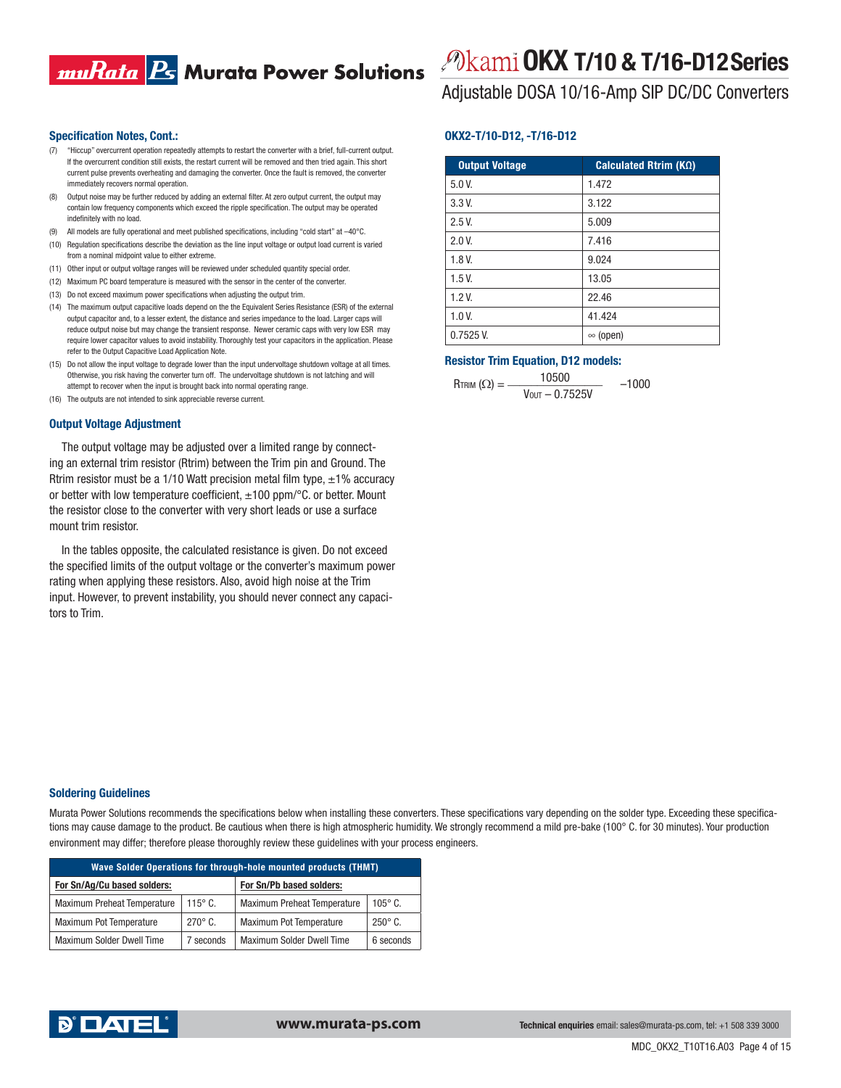### muRata <mark>Ps</mark> Murata Power Solutions

#### **Specification Notes, Cont.:**

- (7) "Hiccup" overcurrent operation repeatedly attempts to restart the converter with a brief, full-current output. If the overcurrent condition still exists, the restart current will be removed and then tried again. This short current pulse prevents overheating and damaging the converter. Once the fault is removed, the converter immediately recovers normal operation.
- (8) Output noise may be further reduced by adding an external filter. At zero output current, the output may contain low frequency components which exceed the ripple specification. The output may be operated indefinitely with no load.
- All models are fully operational and meet published specifications, including "cold start" at -40°C.
- (10) Regulation specifications describe the deviation as the line input voltage or output load current is varied from a nominal midpoint value to either extreme.
- (11) Other input or output voltage ranges will be reviewed under scheduled quantity special order.
- (12) Maximum PC board temperature is measured with the sensor in the center of the converter.
- (13) Do not exceed maximum power specifications when adjusting the output trim.
- (14) The maximum output capacitive loads depend on the the Equivalent Series Resistance (ESR) of the external output capacitor and, to a lesser extent, the distance and series impedance to the load. Larger caps will reduce output noise but may change the transient response. Newer ceramic caps with very low ESR may require lower capacitor values to avoid instability. Thoroughly test your capacitors in the application. Please refer to the Output Capacitive Load Application Note.
- (15) Do not allow the input voltage to degrade lower than the input undervoltage shutdown voltage at all times. Otherwise, you risk having the converter turn off. The undervoltage shutdown is not latching and will attempt to recover when the input is brought back into normal operating range.
- (16) The outputs are not intended to sink appreciable reverse current.

#### **Output Voltage Adjustment**

The output voltage may be adjusted over a limited range by connecting an external trim resistor (Rtrim) between the Trim pin and Ground. The Rtrim resistor must be a 1/10 Watt precision metal film type,  $\pm$ 1% accuracy or better with low temperature coefficient,  $\pm 100$  ppm/°C. or better. Mount the resistor close to the converter with very short leads or use a surface mount trim resistor.

In the tables opposite, the calculated resistance is given. Do not exceed the specified limits of the output voltage or the converter's maximum power rating when applying these resistors. Also, avoid high noise at the Trim input. However, to prevent instability, you should never connect any capacitors to Trim.

# **OKX T/10 & T/16-D12 Series**

Adjustable DOSA 10/16-Amp SIP DC/DC Converters

### **OKX2-T/10-D12, -T/16-D12**

| <b>Output Voltage</b> | Calculated Rtrim $(K\Omega)$ |
|-----------------------|------------------------------|
| $5.0V$ .              | 1.472                        |
| 3.3V.                 | 3.122                        |
| 2.5V.                 | 5.009                        |
| 2.0 V.                | 7.416                        |
| 1.8V                  | 9.024                        |
| 1.5V                  | 13.05                        |
| 1.2V                  | 22.46                        |
| $1.0V$ .              | 41.424                       |
| $0.7525V$ .           | $\infty$ (open)              |

### **Resistor Trim Equation, D12 models:**

$$
R_{TRIM} (\Omega) = \frac{10500}{V_{OUT} - 0.7525V} \qquad -1000
$$

#### **Soldering Guidelines**

Murata Power Solutions recommends the specifications below when installing these converters. These specifications vary depending on the solder type. Exceeding these specifications may cause damage to the product. Be cautious when there is high atmospheric humidity. We strongly recommend a mild pre-bake (100° C. for 30 minutes). Your production environment may differ; therefore please thoroughly review these guidelines with your process engineers.

| Wave Solder Operations for through-hole mounted products (THMT) |                |                                    |                |  |  |  |
|-----------------------------------------------------------------|----------------|------------------------------------|----------------|--|--|--|
| For Sn/Ag/Cu based solders:                                     |                | For Sn/Pb based solders:           |                |  |  |  |
| <b>Maximum Preheat Temperature</b>                              | $115^\circ$ C. | <b>Maximum Preheat Temperature</b> | $105^\circ$ C. |  |  |  |
| Maximum Pot Temperature                                         | $270^\circ$ C. | Maximum Pot Temperature            | $250^\circ$ C. |  |  |  |
| <b>Maximum Solder Dwell Time</b>                                | 7 seconds      | <b>Maximum Solder Dwell Time</b>   | 6 seconds      |  |  |  |

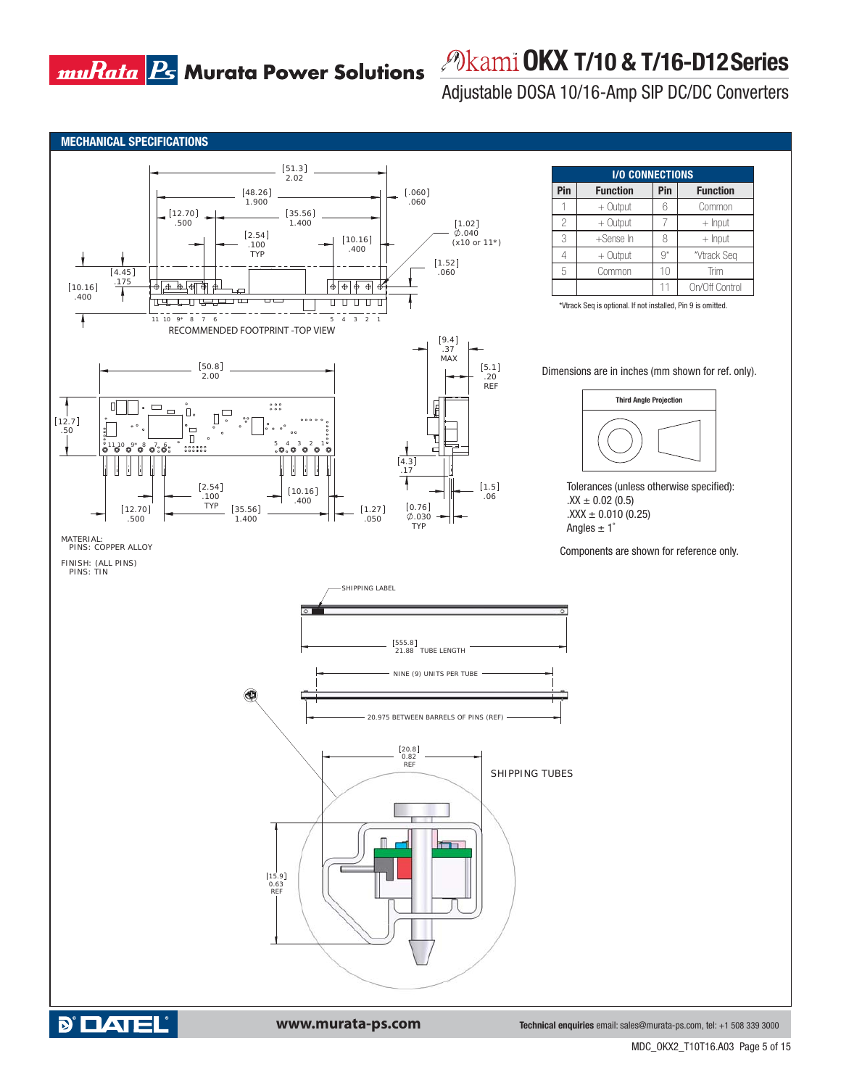# *<i>P***kami OKX T/10 & T/16-D12 Series**

Adjustable DOSA 10/16-Amp SIP DC/DC Converters



**MDC\_**MDC\_OKX2\_T10T16.A03 Page 5 of 15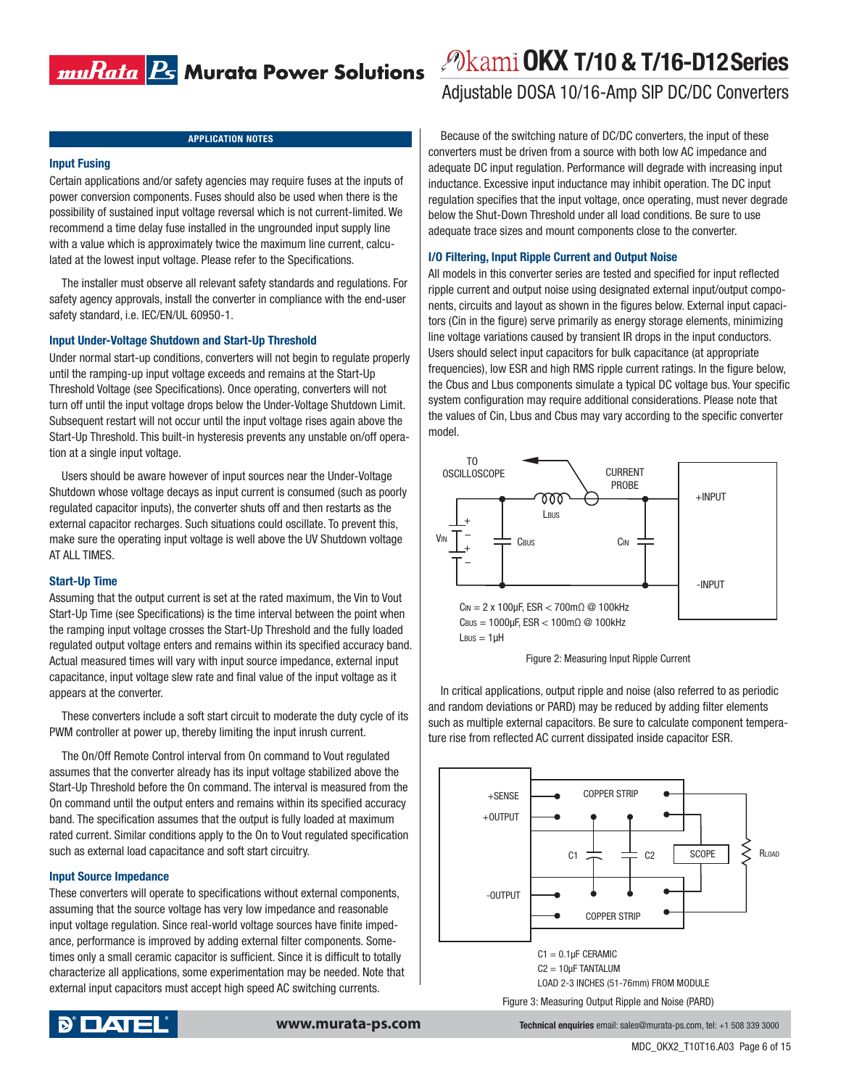### 

### **Input Fusing**

Certain applications and/or safety agencies may require fuses at the inputs of power conversion components. Fuses should also be used when there is the possibility of sustained input voltage reversal which is not current-limited. We recommend a time delay fuse installed in the ungrounded input supply line with a value which is approximately twice the maximum line current, calculated at the lowest input voltage. Please refer to the Specifications.

The installer must observe all relevant safety standards and regulations. For safety agency approvals, install the converter in compliance with the end-user safety standard, i.e. IEC/EN/UL 60950-1.

### **Input Under-Voltage Shutdown and Start-Up Threshold**

Under normal start-up conditions, converters will not begin to regulate properly until the ramping-up input voltage exceeds and remains at the Start-Up Threshold Voltage (see Specifications). Once operating, converters will not turn off until the input voltage drops below the Under-Voltage Shutdown Limit. Subsequent restart will not occur until the input voltage rises again above the Start-Up Threshold. This built-in hysteresis prevents any unstable on/off operation at a single input voltage.

Users should be aware however of input sources near the Under-Voltage Shutdown whose voltage decays as input current is consumed (such as poorly regulated capacitor inputs), the converter shuts off and then restarts as the external capacitor recharges. Such situations could oscillate. To prevent this, make sure the operating input voltage is well above the UV Shutdown voltage AT ALL TIMES.

#### **Start-Up Time**

Assuming that the output current is set at the rated maximum, the Vin to Vout Start-Up Time (see Specifications) is the time interval between the point when the ramping input voltage crosses the Start-Up Threshold and the fully loaded regulated output voltage enters and remains within its specified accuracy band. Actual measured times will vary with input source impedance, external input capacitance, input voltage slew rate and final value of the input voltage as it appears at the converter.

These converters include a soft start circuit to moderate the duty cycle of its PWM controller at power up, thereby limiting the input inrush current.

The On/Off Remote Control interval from On command to Vout regulated assumes that the converter already has its input voltage stabilized above the Start-Up Threshold before the On command. The interval is measured from the On command until the output enters and remains within its specified accuracy band. The specification assumes that the output is fully loaded at maximum rated current. Similar conditions apply to the On to Vout regulated specification such as external load capacitance and soft start circuitry.

#### **Input Source Impedance**

These converters will operate to specifications without external components, assuming that the source voltage has very low impedance and reasonable input voltage regulation. Since real-world voltage sources have finite impedance, performance is improved by adding external filter components. Sometimes only a small ceramic capacitor is sufficient. Since it is difficult to totally characterize all applications, some experimentation may be needed. Note that external input capacitors must accept high speed AC switching currents.



### **OKX T/10 & T/16-D12 Series**

Adjustable DOSA 10/16-Amp SIP DC/DC Converters

**APPLICATION NOTES** BECAUSE BECAUSE Of the switching nature of DC/DC converters, the input of these converters must be driven from a source with both low AC impedance and adequate DC input regulation. Performance will degrade with increasing input inductance. Excessive input inductance may inhibit operation. The DC input regulation specifies that the input voltage, once operating, must never degrade below the Shut-Down Threshold under all load conditions. Be sure to use adequate trace sizes and mount components close to the converter.

#### **I/O Filtering, Input Ripple Current and Output Noise**

All models in this converter series are tested and specified for input reflected ripple current and output noise using designated external input/output components, circuits and layout as shown in the figures below. External input capacitors (Cin in the figure) serve primarily as energy storage elements, minimizing line voltage variations caused by transient IR drops in the input conductors. Users should select input capacitors for bulk capacitance (at appropriate frequencies), low ESR and high RMS ripple current ratings. In the figure below, the Cbus and Lbus components simulate a typical DC voltage bus. Your specific system configuration may require additional considerations. Please note that the values of Cin, Lbus and Cbus may vary according to the specific converter model.



Figure 2: Measuring Input Ripple Current

In critical applications, output ripple and noise (also referred to as periodic and random deviations or PARD) may be reduced by adding filter elements such as multiple external capacitors. Be sure to calculate component temperature rise from reflected AC current dissipated inside capacitor ESR.

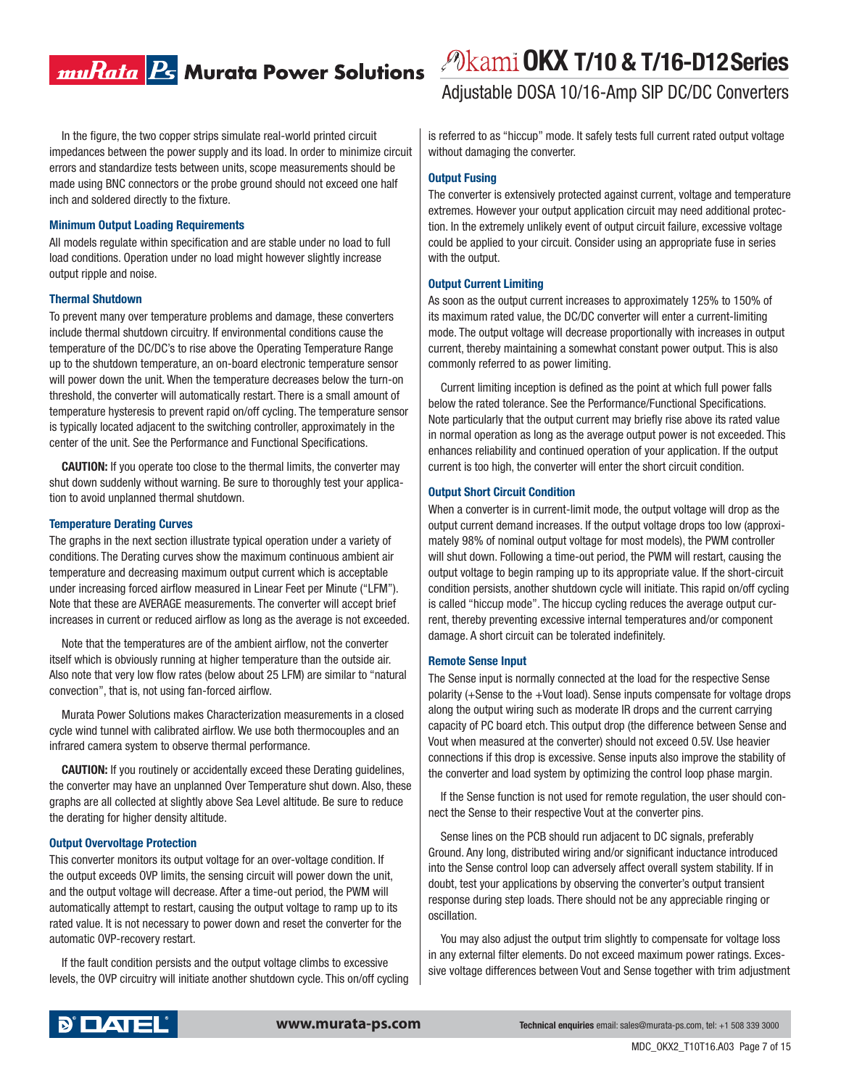### muRata <mark>Ps</mark> Murata Power Solutions

In the figure, the two copper strips simulate real-world printed circuit impedances between the power supply and its load. In order to minimize circuit errors and standardize tests between units, scope measurements should be made using BNC connectors or the probe ground should not exceed one half inch and soldered directly to the fixture.

#### **Minimum Output Loading Requirements**

All models regulate within specification and are stable under no load to full load conditions. Operation under no load might however slightly increase output ripple and noise.

#### **Thermal Shutdown**

To prevent many over temperature problems and damage, these converters include thermal shutdown circuitry. If environmental conditions cause the temperature of the DC/DC's to rise above the Operating Temperature Range up to the shutdown temperature, an on-board electronic temperature sensor will power down the unit. When the temperature decreases below the turn-on threshold, the converter will automatically restart. There is a small amount of temperature hysteresis to prevent rapid on/off cycling. The temperature sensor is typically located adjacent to the switching controller, approximately in the center of the unit. See the Performance and Functional Specifications.

**CAUTION:** If you operate too close to the thermal limits, the converter may shut down suddenly without warning. Be sure to thoroughly test your application to avoid unplanned thermal shutdown.

#### **Temperature Derating Curves**

The graphs in the next section illustrate typical operation under a variety of conditions. The Derating curves show the maximum continuous ambient air temperature and decreasing maximum output current which is acceptable under increasing forced airflow measured in Linear Feet per Minute ("LFM"). Note that these are AVERAGE measurements. The converter will accept brief increases in current or reduced airflow as long as the average is not exceeded.

Note that the temperatures are of the ambient airflow, not the converter itself which is obviously running at higher temperature than the outside air. Also note that very low flow rates (below about 25 LFM) are similar to "natural convection", that is, not using fan-forced airflow.

Murata Power Solutions makes Characterization measurements in a closed cycle wind tunnel with calibrated airflow. We use both thermocouples and an infrared camera system to observe thermal performance.

**CAUTION:** If you routinely or accidentally exceed these Derating guidelines, the converter may have an unplanned Over Temperature shut down. Also, these graphs are all collected at slightly above Sea Level altitude. Be sure to reduce the derating for higher density altitude.

#### **Output Overvoltage Protection**

This converter monitors its output voltage for an over-voltage condition. If the output exceeds OVP limits, the sensing circuit will power down the unit, and the output voltage will decrease. After a time-out period, the PWM will automatically attempt to restart, causing the output voltage to ramp up to its rated value. It is not necessary to power down and reset the converter for the automatic OVP-recovery restart.

If the fault condition persists and the output voltage climbs to excessive levels, the OVP circuitry will initiate another shutdown cycle. This on/off cycling

### **OKX T/10 & T/16-D12 Series**

Adjustable DOSA 10/16-Amp SIP DC/DC Converters

is referred to as "hiccup" mode. It safely tests full current rated output voltage without damaging the converter.

#### **Output Fusing**

The converter is extensively protected against current, voltage and temperature extremes. However your output application circuit may need additional protection. In the extremely unlikely event of output circuit failure, excessive voltage could be applied to your circuit. Consider using an appropriate fuse in series with the output.

#### **Output Current Limiting**

As soon as the output current increases to approximately 125% to 150% of its maximum rated value, the DC/DC converter will enter a current-limiting mode. The output voltage will decrease proportionally with increases in output current, thereby maintaining a somewhat constant power output. This is also commonly referred to as power limiting.

Current limiting inception is defined as the point at which full power falls below the rated tolerance. See the Performance/Functional Specifications. Note particularly that the output current may briefly rise above its rated value in normal operation as long as the average output power is not exceeded. This enhances reliability and continued operation of your application. If the output current is too high, the converter will enter the short circuit condition.

### **Output Short Circuit Condition**

When a converter is in current-limit mode, the output voltage will drop as the output current demand increases. If the output voltage drops too low (approximately 98% of nominal output voltage for most models), the PWM controller will shut down. Following a time-out period, the PWM will restart, causing the output voltage to begin ramping up to its appropriate value. If the short-circuit condition persists, another shutdown cycle will initiate. This rapid on/off cycling is called "hiccup mode". The hiccup cycling reduces the average output current, thereby preventing excessive internal temperatures and/or component damage. A short circuit can be tolerated indefinitely.

### **Remote Sense Input**

The Sense input is normally connected at the load for the respective Sense polarity (+Sense to the +Vout load). Sense inputs compensate for voltage drops along the output wiring such as moderate IR drops and the current carrying capacity of PC board etch. This output drop (the difference between Sense and Vout when measured at the converter) should not exceed 0.5V. Use heavier connections if this drop is excessive. Sense inputs also improve the stability of the converter and load system by optimizing the control loop phase margin.

If the Sense function is not used for remote regulation, the user should connect the Sense to their respective Vout at the converter pins.

Sense lines on the PCB should run adjacent to DC signals, preferably Ground. Any long, distributed wiring and/or significant inductance introduced into the Sense control loop can adversely affect overall system stability. If in doubt, test your applications by observing the converter's output transient response during step loads. There should not be any appreciable ringing or oscillation.

You may also adjust the output trim slightly to compensate for voltage loss in any external filter elements. Do not exceed maximum power ratings. Excessive voltage differences between Vout and Sense together with trim adjustment

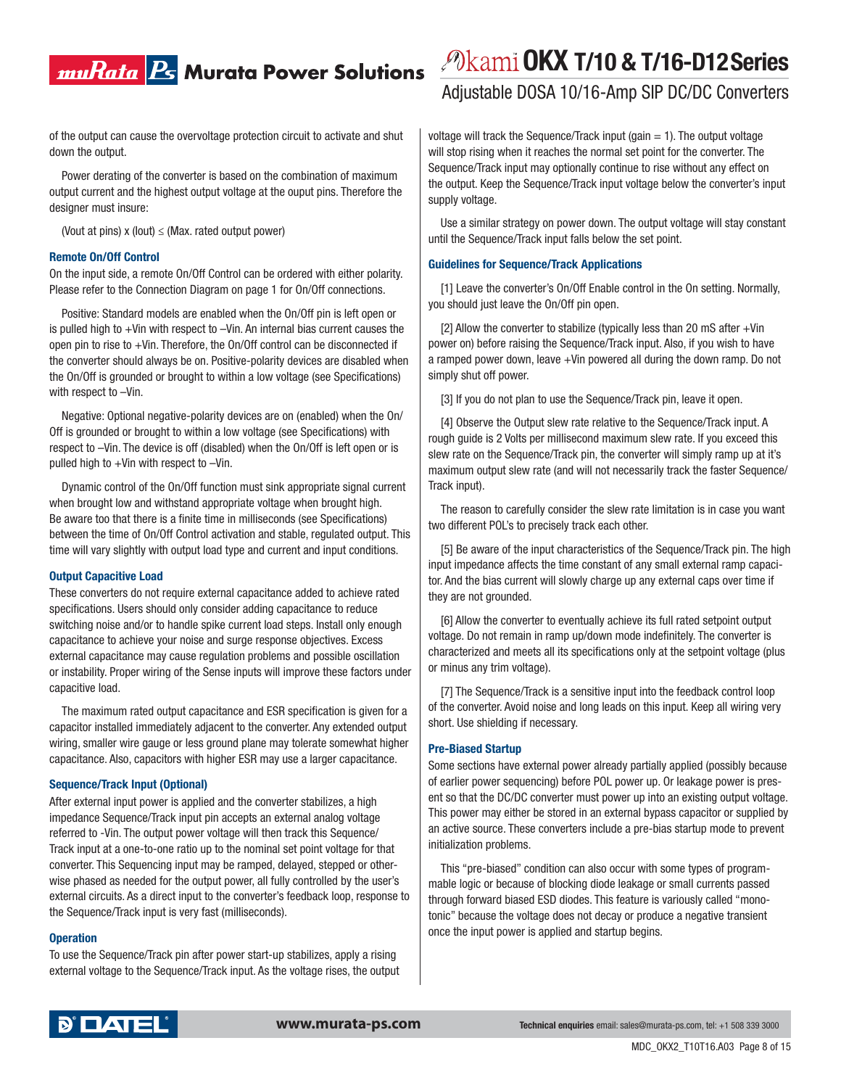### muRata <mark>Ps</mark> Murata Power Solutions

of the output can cause the overvoltage protection circuit to activate and shut down the output.

Power derating of the converter is based on the combination of maximum output current and the highest output voltage at the ouput pins. Therefore the designer must insure:

(Vout at pins)  $x$  (lout)  $\le$  (Max. rated output power)

### **Remote On/Off Control**

On the input side, a remote On/Off Control can be ordered with either polarity. Please refer to the Connection Diagram on page 1 for On/Off connections.

Positive: Standard models are enabled when the On/Off pin is left open or is pulled high to +Vin with respect to –Vin. An internal bias current causes the open pin to rise to +Vin. Therefore, the On/Off control can be disconnected if the converter should always be on. Positive-polarity devices are disabled when the On/Off is grounded or brought to within a low voltage (see Specifications) with respect to –Vin.

Negative: Optional negative-polarity devices are on (enabled) when the On/ Off is grounded or brought to within a low voltage (see Specifications) with respect to –Vin. The device is off (disabled) when the On/Off is left open or is pulled high to +Vin with respect to –Vin.

Dynamic control of the On/Off function must sink appropriate signal current when brought low and withstand appropriate voltage when brought high. Be aware too that there is a finite time in milliseconds (see Specifications) between the time of On/Off Control activation and stable, regulated output. This time will vary slightly with output load type and current and input conditions.

#### **Output Capacitive Load**

These converters do not require external capacitance added to achieve rated specifications. Users should only consider adding capacitance to reduce switching noise and/or to handle spike current load steps. Install only enough capacitance to achieve your noise and surge response objectives. Excess external capacitance may cause regulation problems and possible oscillation or instability. Proper wiring of the Sense inputs will improve these factors under capacitive load.

The maximum rated output capacitance and ESR specification is given for a capacitor installed immediately adjacent to the converter. Any extended output wiring, smaller wire gauge or less ground plane may tolerate somewhat higher capacitance. Also, capacitors with higher ESR may use a larger capacitance.

### **Sequence/Track Input (Optional)**

After external input power is applied and the converter stabilizes, a high impedance Sequence/Track input pin accepts an external analog voltage referred to -Vin. The output power voltage will then track this Sequence/ Track input at a one-to-one ratio up to the nominal set point voltage for that converter. This Sequencing input may be ramped, delayed, stepped or otherwise phased as needed for the output power, all fully controlled by the user's external circuits. As a direct input to the converter's feedback loop, response to the Sequence/Track input is very fast (milliseconds).

#### **Operation**

To use the Sequence/Track pin after power start-up stabilizes, apply a rising external voltage to the Sequence/Track input. As the voltage rises, the output

## **OKX T/10 & T/16-D12 Series**

Adjustable DOSA 10/16-Amp SIP DC/DC Converters

voltage will track the Sequence/Track input (gain  $= 1$ ). The output voltage will stop rising when it reaches the normal set point for the converter. The Sequence/Track input may optionally continue to rise without any effect on the output. Keep the Sequence/Track input voltage below the converter's input supply voltage.

Use a similar strategy on power down. The output voltage will stay constant until the Sequence/Track input falls below the set point.

### **Guidelines for Sequence/Track Applications**

[1] Leave the converter's On/Off Enable control in the On setting. Normally, you should just leave the On/Off pin open.

[2] Allow the converter to stabilize (typically less than 20 mS after  $+V$ in power on) before raising the Sequence/Track input. Also, if you wish to have a ramped power down, leave +Vin powered all during the down ramp. Do not simply shut off power.

[3] If you do not plan to use the Sequence/Track pin, leave it open.

[4] Observe the Output slew rate relative to the Sequence/Track input. A rough guide is 2 Volts per millisecond maximum slew rate. If you exceed this slew rate on the Sequence/Track pin, the converter will simply ramp up at it's maximum output slew rate (and will not necessarily track the faster Sequence/ Track input).

The reason to carefully consider the slew rate limitation is in case you want two different POL's to precisely track each other.

[5] Be aware of the input characteristics of the Sequence/Track pin. The high input impedance affects the time constant of any small external ramp capacitor. And the bias current will slowly charge up any external caps over time if they are not grounded.

[6] Allow the converter to eventually achieve its full rated setpoint output voltage. Do not remain in ramp up/down mode indefinitely. The converter is characterized and meets all its specifications only at the setpoint voltage (plus or minus any trim voltage).

[7] The Sequence/Track is a sensitive input into the feedback control loop of the converter. Avoid noise and long leads on this input. Keep all wiring very short. Use shielding if necessary.

#### **Pre-Biased Startup**

Some sections have external power already partially applied (possibly because of earlier power sequencing) before POL power up. Or leakage power is present so that the DC/DC converter must power up into an existing output voltage. This power may either be stored in an external bypass capacitor or supplied by an active source. These converters include a pre-bias startup mode to prevent initialization problems.

This "pre-biased" condition can also occur with some types of programmable logic or because of blocking diode leakage or small currents passed through forward biased ESD diodes. This feature is variously called "monotonic" because the voltage does not decay or produce a negative transient once the input power is applied and startup begins.

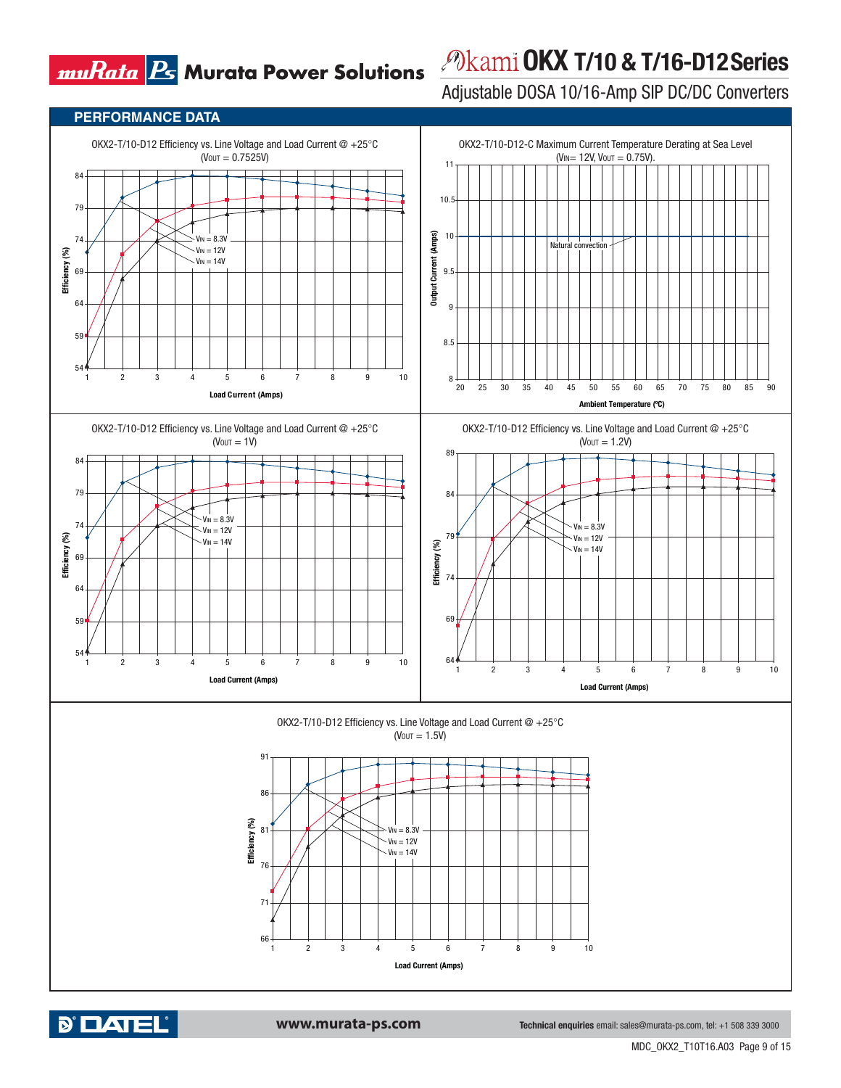**PERFORMANCE DATA**

# **OKX T/10 & T/16-D12 Series**

Adjustable DOSA 10/16-Amp SIP DC/DC Converters

#### OKX2-T/10-D12 Efficiency vs. Line Voltage and Load Current  $@ + 25°C$ OKX2-T/10-D12-C Maximum Current Temperature Derating at Sea Level  $(V_{\text{OUT}} = 0.7525V)$ ( $V_{IN}$  = 12V,  $V_{OUT}$  = 0.75V). 11 84 10.5 79 10 **Output Current (Amps)**  $= 8.3V$ Output Current (Amps) 74 Natural convection  $V_{IN} = 12V$ Efficiency (%) **Efficiency (%)**  $V_{IN} = 14V$ 69 9.5 64 9 59 8.5 54 8 1 2 3 4 5 6 7 8 9 10 20 25 30 35 40 45 50 55 60 65 70 75 80 85 90 **Load Current (Amps) Ambient Temperature (ºC)** OKX2-T/10-D12 Efficiency vs. Line Voltage and Load Current  $@ + 25°C$ OKX2-T/10-D12 Efficiency vs. Line Voltage and Load Current  $@ + 25°C$  $(V_{\text{OUT}} = 1.2V)$  $(V_{\text{OUT}} = 1V)$ 89 8 79 84  $V_{IN} = 8.3V$ 74  $V_{IN} = 8.3V$  $\cdot$  V<sub>IN</sub> = 12V 79  $\cdot$  V<sub>IN</sub> = 12V Efficiency (%) **Efficiency (%)**  $V_{IN} = 14V$  $\mathcal{C}^{\prime}$ **Efficiency (%)**  $V_{IN} = 14V$ Efficiency ( 69 74 64 69 59 54 64 1 2 3 4 5 6 7 8 9 10 1 2 3 4 5 6 7 8 9 10 **Load Current (Amps) Load Current (Amps)** OKX2-T/10-D12 Efficiency vs. Line Voltage and Load Current  $@ + 25°C$  $(V_{OUT} = 1.5V)$ 91 86 Efficiency (%) **Efficiency (%)** 81  $V_{\text{IN}} = 8.3V$  $\cdot$  V<sub>IN</sub> = 12V  $\cdot$  V<sub>IN</sub> = 14V 76 71 66 1 2 3 4 5 6 7 8 9 10 **Load Current (Amps)**

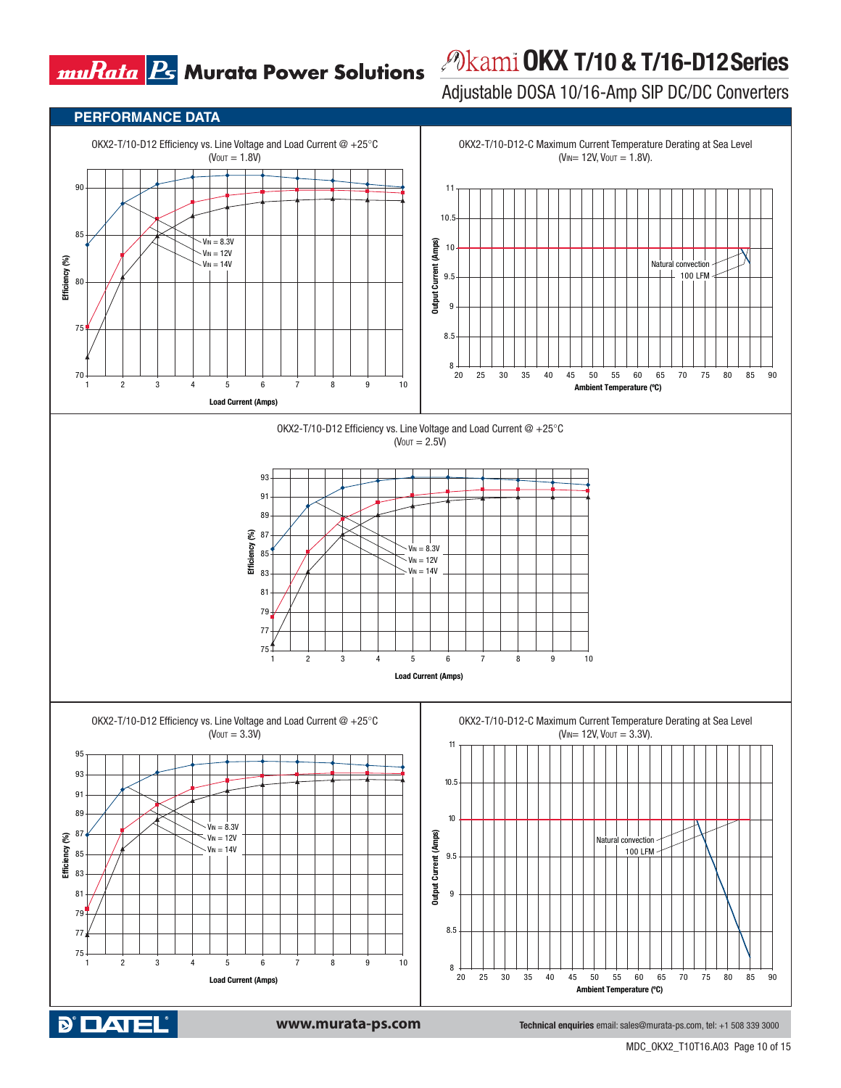# **OKX T/10 & T/16-D12 Series**

Adjustable DOSA 10/16-Amp SIP DC/DC Converters



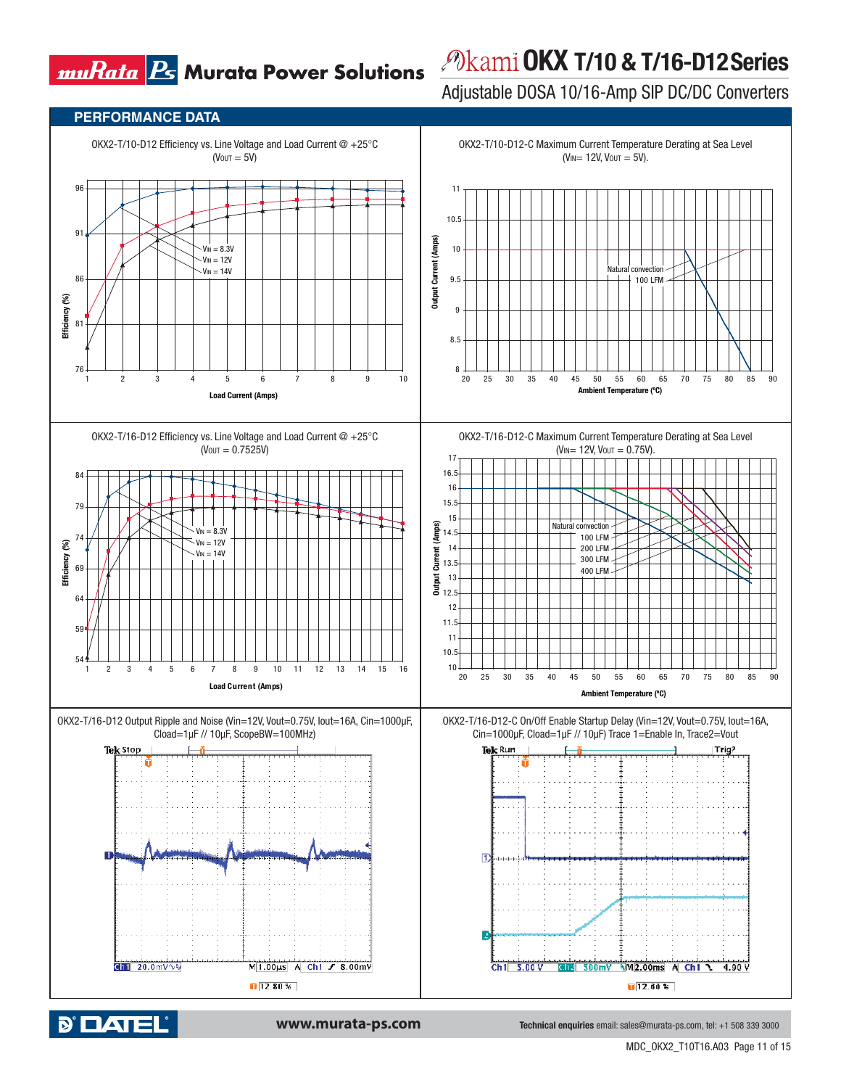# *<i>P***kami OKX T/10 & T/16-D12 Series**

Adjustable DOSA 10/16-Amp SIP DC/DC Converters



**D' DATEL**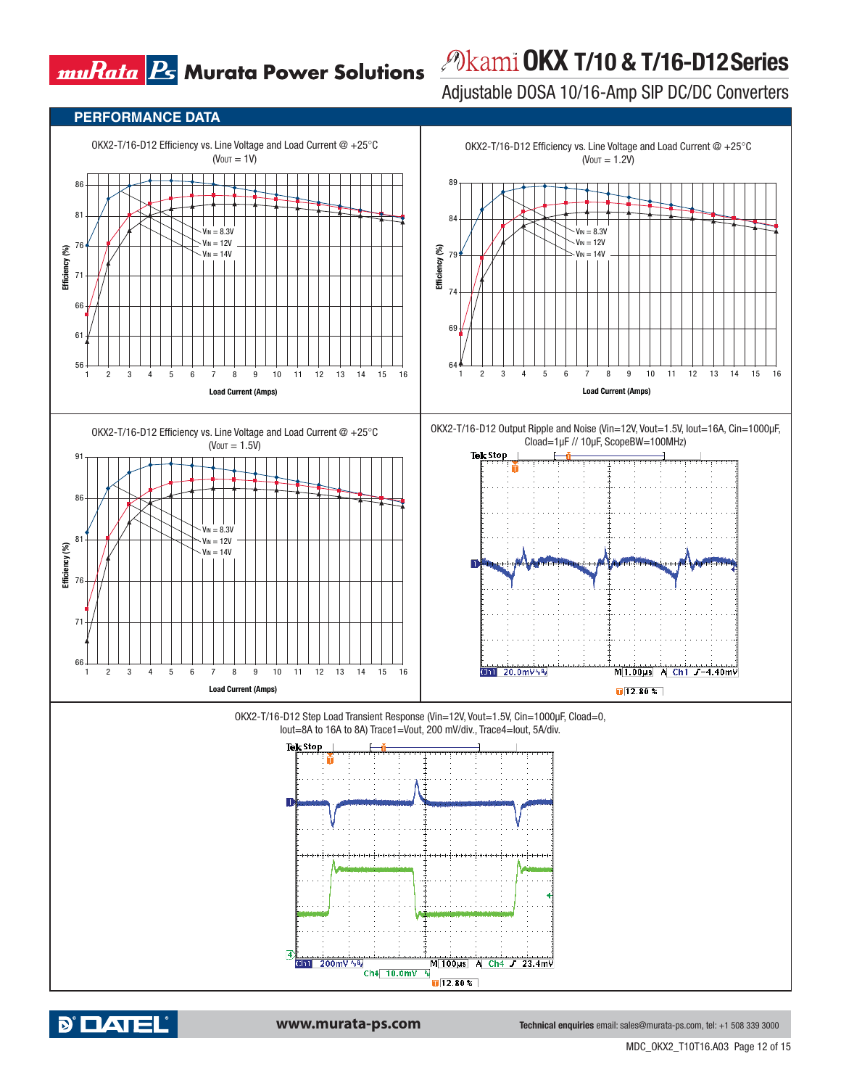## *<i>P***kami OKX T/10 & T/16-D12 Series**

Adjustable DOSA 10/16-Amp SIP DC/DC Converters





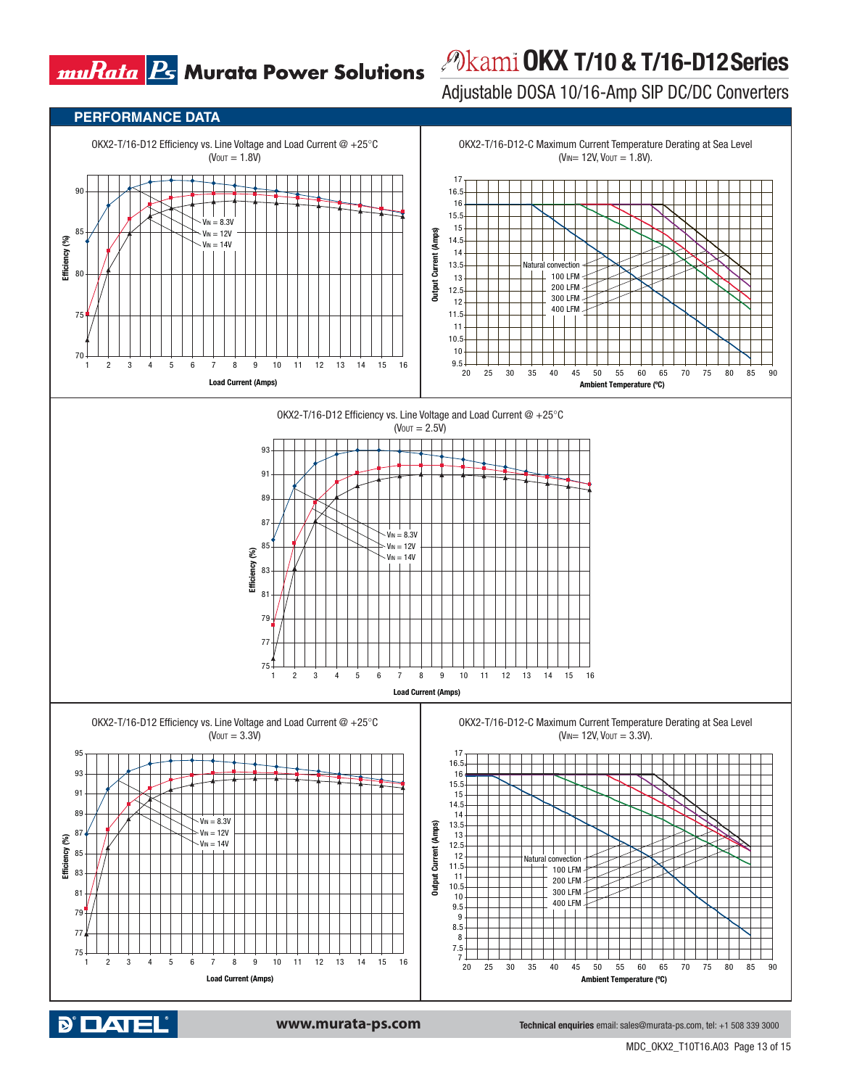### *<i>P***kami OKX T/10 & T/16-D12 Series**

Adjustable DOSA 10/16-Amp SIP DC/DC Converters



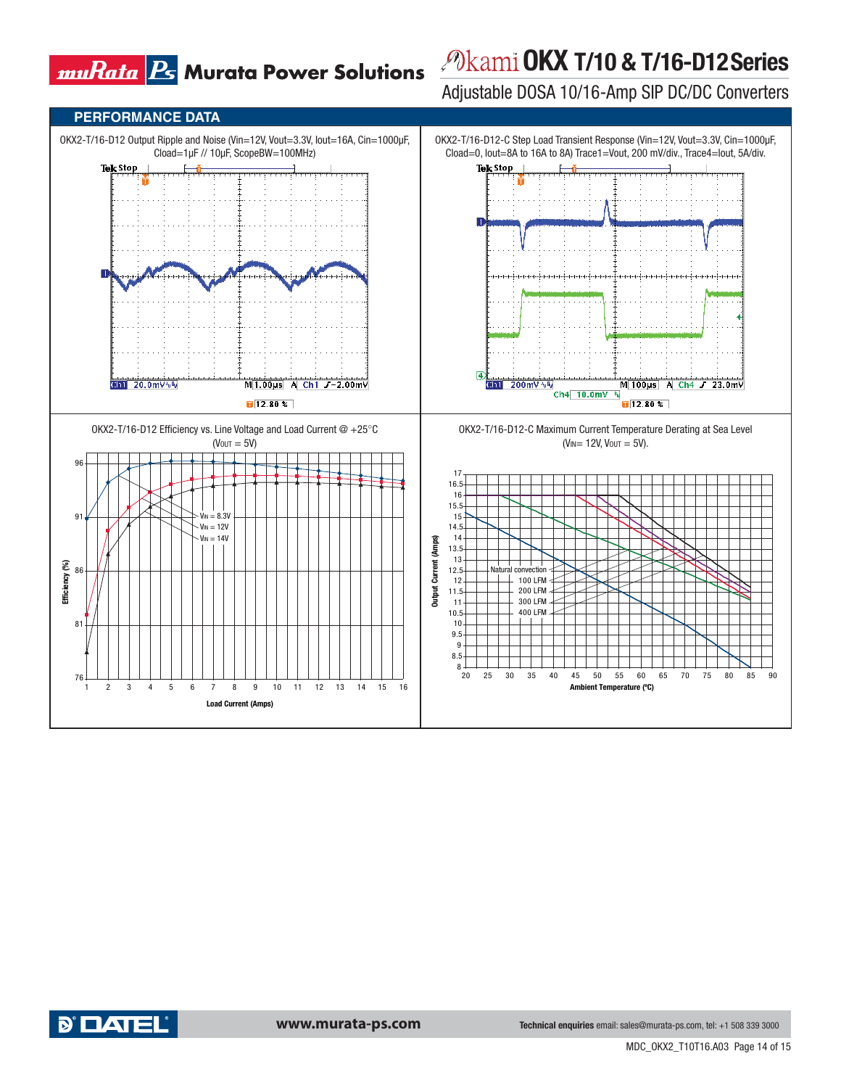# **OKX T/10 & T/16-D12 Series**

Adjustable DOSA 10/16-Amp SIP DC/DC Converters